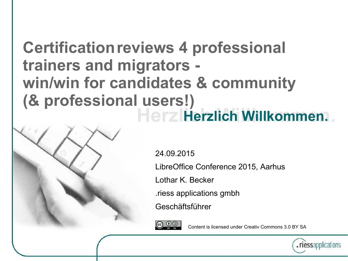#### **Herzlich Willkommen. Herzlich Willkommen. Certification reviews 4 professional trainers and migrators win/win for candidates & community (& professional users!)**

24.09.2015

LibreOffice Conference 2015, Aarhus

Lothar K. Becker

.riess applications gmbh

Geschäftsführer



Content is licensed under Creativ Commons 3.0 BY SA

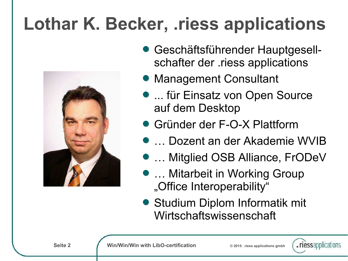## **Lothar K. Becker, .riess applications**



- Geschäftsführender Hauptgesellschafter der .riess applications
- **Management Consultant**
- ... für Einsatz von Open Source auf dem Desktop
- Gründer der F-O-X Plattform
	- **D... Dozent an der Akademie WVIB**
- … Mitglied OSB Alliance, FrODeV
- **... Mitarbeit in Working Group** "Office Interoperability"
- Studium Diplom Informatik mit Wirtschaftswissenschaft

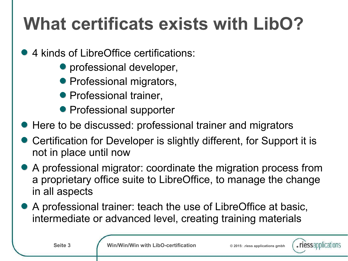## **What certificats exists with LibO?**

- 4 kinds of LibreOffice certifications:
	- **•** professional developer,
	- Professional migrators,
	- **Professional trainer,**
	- **Professional supporter**
- Here to be discussed: professional trainer and migrators
- Certification for Developer is slightly different, for Support it is not in place until now
- A professional migrator: coordinate the migration process from a proprietary office suite to LibreOffice, to manage the change in all aspects
- A professional trainer: teach the use of LibreOffice at basic, intermediate or advanced level, creating training materials

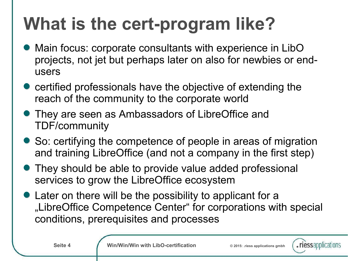## **What is the cert-program like?**

- Main focus: corporate consultants with experience in LibO projects, not jet but perhaps later on also for newbies or endusers
- certified professionals have the objective of extending the reach of the community to the corporate world
- They are seen as Ambassadors of LibreOffice and TDF/community
- So: certifying the competence of people in areas of migration and training LibreOffice (and not a company in the first step)
- They should be able to provide value added professional services to grow the LibreOffice ecosystem
- Later on there will be the possibility to applicant for a "LibreOffice Competence Center" for corporations with special conditions, prerequisites and processes

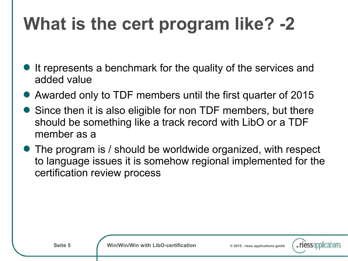## **What is the cert program like? -2**

- It represents a benchmark for the quality of the services and added value
- Awarded only to TDF members until the first quarter of 2015
- Since then it is also eligible for non TDF members, but there should be something like a track record with LibO or a TDF member as a
- The program is / should be worldwide organized, with respect to language issues it is somehow regional implemented for the certification review process

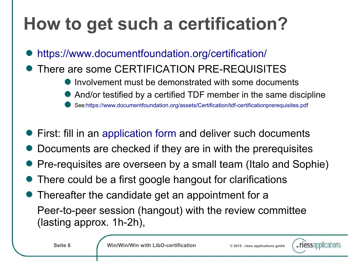## **How to get such a certification?**

- <https://www.documentfoundation.org/certification/>
- There are some CERTIFICATION PRE-REQUISITES
	- Involvement must be demonstrated with some documents
	- And/or testified by a certified TDF member in the same discipline
	- See:<https://www.documentfoundation.org/assets/Certification/tdf-certificationprerequisites.pdf>
- First: fill in an [application form](file:///C:/Users/lbecker.RIESS/Desktop/LibOConAarhus/Application%20for%20TDF%20Certification%20%C2%BB%20The%20Document%20Foundation.htm) and deliver such documents
- Documents are checked if they are in with the prerequisites
- Pre-requisites are overseen by a small team (Italo and Sophie)
- There could be a first google hangout for clarifications
- Thereafter the candidate get an appointment for a Peer-to-peer session (hangout) with the review committee (lasting approx. 1h-2h),

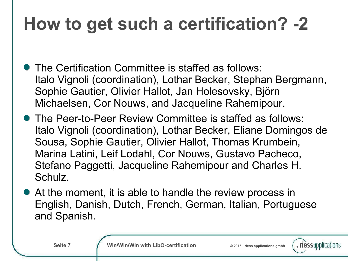## **How to get such a certification? -2**

- **The Certification Committee is staffed as follows:** Italo Vignoli (coordination), Lothar Becker, Stephan Bergmann, Sophie Gautier, Olivier Hallot, Jan Holesovsky, Björn Michaelsen, Cor Nouws, and Jacqueline Rahemipour.
- The Peer-to-Peer Review Committee is staffed as follows: Italo Vignoli (coordination), Lothar Becker, Eliane Domingos de Sousa, Sophie Gautier, Olivier Hallot, Thomas Krumbein, Marina Latini, Leif Lodahl, Cor Nouws, Gustavo Pacheco, Stefano Paggetti, Jacqueline Rahemipour and Charles H. Schulz.
- At the moment, it is able to handle the review process in English, Danish, Dutch, French, German, Italian, Portuguese and Spanish.

**Seite 7 Win/Win/Win with LibO-certification** © 2015: riess applications gmbh

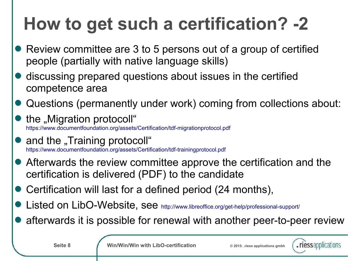## **How to get such a certification? -2**

- Review committee are 3 to 5 persons out of a group of certified people (partially with native language skills)
- discussing prepared questions about issues in the certified competence area
- Questions (permanently under work) coming from collections about:
- the "Migration protocoll" <https://www.documentfoundation.org/assets/Certification/tdf-migrationprotocol.pdf>
- and the "Training protocoll" <https://www.documentfoundation.org/assets/Certification/tdf-trainingprotocol.pdf>
- Afterwards the review committee approve the certification and the certification is delivered (PDF) to the candidate
- Certification will last for a defined period (24 months),
- Listed on LibO-Website, see <http://www.libreoffice.org/get-help/professional-support/>
- afterwards it is possible for renewal with another peer-to-peer review

**Seite 8 Win/Win/Win with LibO-certification**  $\otimes$  2015: riess applications gmbh

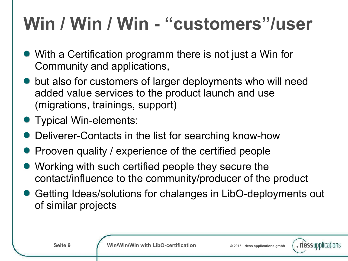## **Win / Win / Win - "customers"/user**

- With a Certification programm there is not just a Win for Community and applications,
- but also for customers of larger deployments who will need added value services to the product launch and use (migrations, trainings, support)
- **Typical Win-elements:**
- Deliverer-Contacts in the list for searching know-how
- Prooven quality / experience of the certified people
- Working with such certified people they secure the contact/influence to the community/producer of the product
- Getting Ideas/solutions for chalanges in LibO-deployments out of similar projects

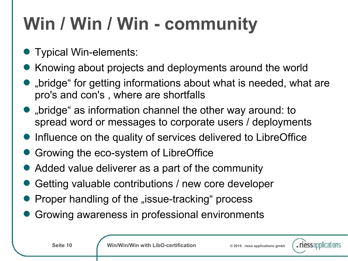## **Win / Win / Win - community**

- Typical Win-elements:
- Knowing about projects and deployments around the world
- $\bullet$  "bridge" for getting informations about what is needed, what are pro's and con's , where are shortfalls
- $\bullet$  "bridge" as information channel the other way around: to spread word or messages to corporate users / deployments
- **Influence on the quality of services delivered to LibreOffice**
- **Growing the eco-system of LibreOffice**
- Added value deliverer as a part of the community
- Getting valuable contributions / new core developer
- Proper handling of the "issue-tracking" process
- Growing awareness in professional environments

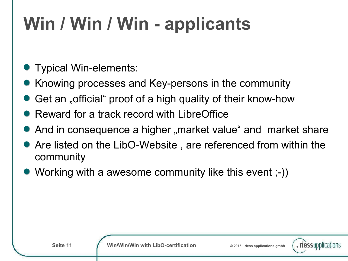## **Win / Win / Win - applicants**

- Typical Win-elements:
- Knowing processes and Key-persons in the community
- Get an "official" proof of a high quality of their know-how
- Reward for a track record with LibreOffice
- And in consequence a higher "market value" and market share
- Are listed on the LibO-Website , are referenced from within the community
- Working with a awesome community like this event ;-))

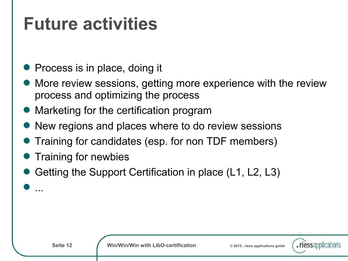#### **Future activities**

- Process is in place, doing it
- More review sessions, getting more experience with the review process and optimizing the process
- Marketing for the certification program
- New regions and places where to do review sessions
- Training for candidates (esp. for non TDF members)
- Training for newbies
- Getting the Support Certification in place (L1, L2, L3)

...

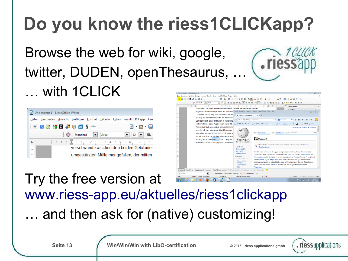# **Do you know the riess1CLICKapp?**

#### Browse the web for wiki, google, twitter, DUDEN, openThesaurus, … … with 1CLICK

| ⇒ Unbenannt 1 - LibreOffice Writer |                                                                                                   |
|------------------------------------|---------------------------------------------------------------------------------------------------|
|                                    | Datei Bearbeiten Ansicht Einfügen Format Tabelle Extras riess1CLICKapp Fen                        |
|                                    | $W$ 3 $M$ $M$ $D$ $J$ $M$ ot $S$ $C$<br>: B + B + B                                               |
|                                    | $\odot$<br>Standard<br>a<br>$\vert \cdot \vert$ 12 $\vert \cdot \vert$<br>$\blacksquare$<br>Arial |
| Щ                                  | $-1$ $    1$ $  2$ $  3$ $  4$ $  5$ $  6$ $  7$ $ -$ 8                                           |
| <b>Litres</b>                      | verschwand zwischen den beiden Gebäuder                                                           |
| $\sim$                             | umgestürzten Mülleimer gefallen, der mitten                                                       |



#### Try the free version at [www.riess-app.eu/aktuelles/riess1clickapp](http://www.riess-app.eu/aktuelles/riess1clickapp) … and then ask for (native) customizing!

**Seite 13 Win/Win/Win with LibO-certification**  $\odot$  2015: riess applications gmbh

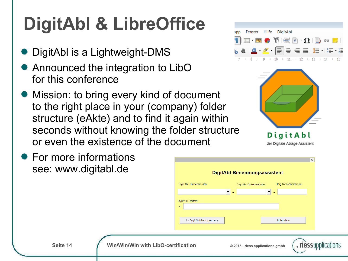## **DigitAbl & LibreOffice**

- DigitAbl is a Lightweight-DMS
- Announced the integration to LibO for this conference
- **Mission: to bring every kind of document** to the right place in your (company) folder structure (eAkte) and to find it again within seconds without knowing the folder structure or even the existence of the document
- **For more informations** see: www.digitabl.de